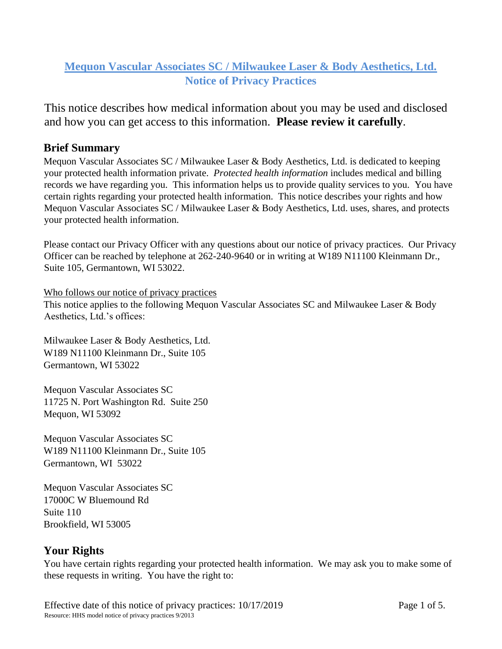# **Mequon Vascular Associates SC / Milwaukee Laser & Body Aesthetics, Ltd. Notice of Privacy Practices**

This notice describes how medical information about you may be used and disclosed and how you can get access to this information. **Please review it carefully**.

### **Brief Summary**

Mequon Vascular Associates SC / Milwaukee Laser & Body Aesthetics, Ltd. is dedicated to keeping your protected health information private. *Protected health information* includes medical and billing records we have regarding you. This information helps us to provide quality services to you. You have certain rights regarding your protected health information. This notice describes your rights and how Mequon Vascular Associates SC / Milwaukee Laser & Body Aesthetics, Ltd. uses, shares, and protects your protected health information.

Please contact our Privacy Officer with any questions about our notice of privacy practices. Our Privacy Officer can be reached by telephone at 262-240-9640 or in writing at W189 N11100 Kleinmann Dr., Suite 105, Germantown, WI 53022.

Who follows our notice of privacy practices This notice applies to the following Mequon Vascular Associates SC and Milwaukee Laser & Body Aesthetics, Ltd.'s offices:

Milwaukee Laser & Body Aesthetics, Ltd. W189 N11100 Kleinmann Dr., Suite 105 Germantown, WI 53022

Mequon Vascular Associates SC 11725 N. Port Washington Rd. Suite 250 Mequon, WI 53092

Mequon Vascular Associates SC W189 N11100 Kleinmann Dr., Suite 105 Germantown, WI 53022

Mequon Vascular Associates SC 17000C W Bluemound Rd Suite 110 Brookfield, WI 53005

## **Your Rights**

You have certain rights regarding your protected health information. We may ask you to make some of these requests in writing. You have the right to: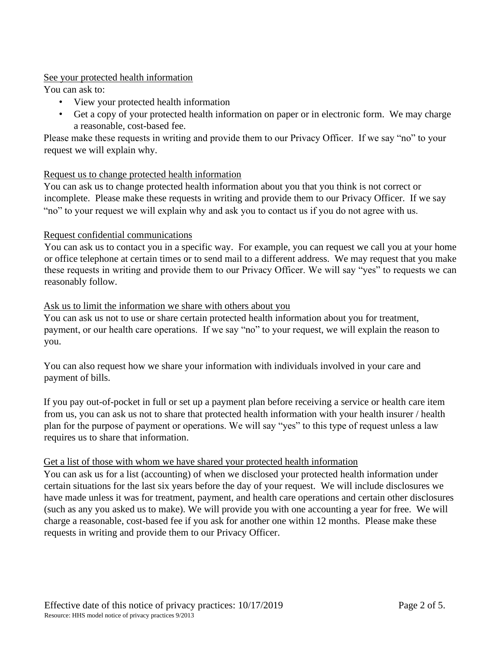#### See your protected health information

You can ask to:

- View your protected health information
- Get a copy of your protected health information on paper or in electronic form. We may charge a reasonable, cost-based fee.

Please make these requests in writing and provide them to our Privacy Officer. If we say "no" to your request we will explain why.

### Request us to change protected health information

You can ask us to change protected health information about you that you think is not correct or incomplete. Please make these requests in writing and provide them to our Privacy Officer. If we say "no" to your request we will explain why and ask you to contact us if you do not agree with us.

#### Request confidential communications

You can ask us to contact you in a specific way. For example, you can request we call you at your home or office telephone at certain times or to send mail to a different address. We may request that you make these requests in writing and provide them to our Privacy Officer. We will say "yes" to requests we can reasonably follow.

#### Ask us to limit the information we share with others about you

You can ask us not to use or share certain protected health information about you for treatment, payment, or our health care operations. If we say "no" to your request, we will explain the reason to you.

You can also request how we share your information with individuals involved in your care and payment of bills.

If you pay out-of-pocket in full or set up a payment plan before receiving a service or health care item from us, you can ask us not to share that protected health information with your health insurer / health plan for the purpose of payment or operations. We will say "yes" to this type of request unless a law requires us to share that information.

#### Get a list of those with whom we have shared your protected health information

You can ask us for a list (accounting) of when we disclosed your protected health information under certain situations for the last six years before the day of your request. We will include disclosures we have made unless it was for treatment, payment, and health care operations and certain other disclosures (such as any you asked us to make). We will provide you with one accounting a year for free. We will charge a reasonable, cost-based fee if you ask for another one within 12 months. Please make these requests in writing and provide them to our Privacy Officer.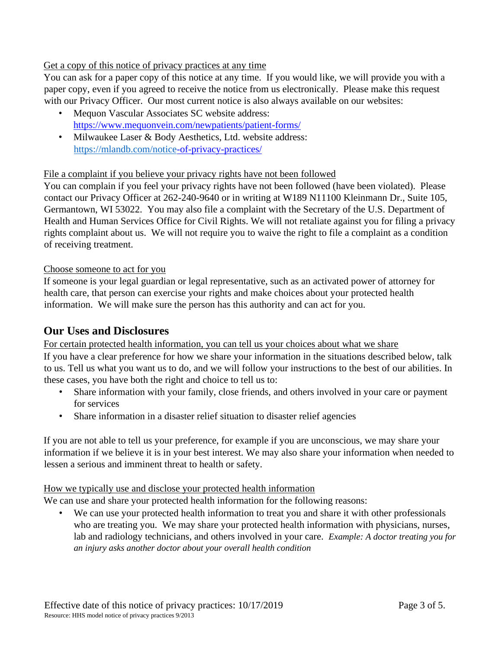### Get a copy of this notice of privacy practices at any time

You can ask for a paper copy of this notice at any time. If you would like, we will provide you with a paper copy, even if you agreed to receive the notice from us electronically. Please make this request with our Privacy Officer. Our most current notice is also always available on our websites:

- Mequon Vascular Associates SC website address: [https://www.mequonvein.com/newpatients/patient-forms/](https://www.mequonvein.com/new-patients/patient-forms/)
- Milwaukee Laser & Body Aesthetics, Ltd. website address: <https://mlandb.com/notice>[-of-privacy-practices/](https://milwaukeelaserandbody.com/notice-of-privacy-practices/)

#### File a complaint if you believe your privacy rights have not been followed

You can complain if you feel your privacy rights have not been followed (have been violated). Please contact our Privacy Officer at 262-240-9640 or in writing at W189 N11100 Kleinmann Dr., Suite 105, Germantown, WI 53022. You may also file a complaint with the Secretary of the U.S. Department of Health and Human Services Office for Civil Rights. We will not retaliate against you for filing a privacy rights complaint about us. We will not require you to waive the right to file a complaint as a condition of receiving treatment.

#### Choose someone to act for you

If someone is your legal guardian or legal representative, such as an activated power of attorney for health care, that person can exercise your rights and make choices about your protected health information. We will make sure the person has this authority and can act for you.

### **Our Uses and Disclosures**

For certain protected health information, you can tell us your choices about what we share If you have a clear preference for how we share your information in the situations described below, talk

to us. Tell us what you want us to do, and we will follow your instructions to the best of our abilities. In these cases, you have both the right and choice to tell us to:

- Share information with your family, close friends, and others involved in your care or payment for services
- Share information in a disaster relief situation to disaster relief agencies

If you are not able to tell us your preference, for example if you are unconscious, we may share your information if we believe it is in your best interest. We may also share your information when needed to lessen a serious and imminent threat to health or safety.

### How we typically use and disclose your protected health information

We can use and share your protected health information for the following reasons:

We can use your protected health information to treat you and share it with other professionals who are treating you. We may share your protected health information with physicians, nurses, lab and radiology technicians, and others involved in your care. *Example: A doctor treating you for an injury asks another doctor about your overall health condition*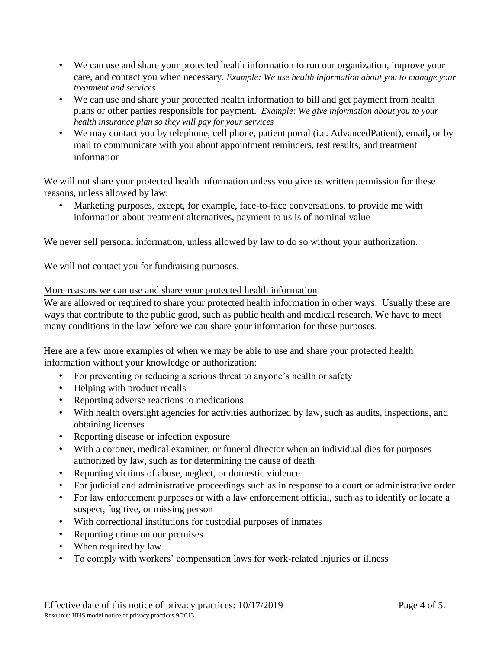- We can use and share your protected health information to run our organization, improve your care, and contact you when necessary. *Example: We use health information about you to manage your treatment and services*
- We can use and share your protected health information to bill and get payment from health plans or other parties responsible for payment. *Example: We give information about you to your health insurance plan so they will pay for your services*
- We may contact you by telephone, cell phone, patient portal (i.e. AdvancedPatient), email, or by mail to communicate with you about appointment reminders, test results, and treatment information

We will not share your protected health information unless you give us written permission for these reasons, unless allowed by law:

• Marketing purposes, except, for example, face-to-face conversations, to provide me with information about treatment alternatives, payment to us is of nominal value

We never sell personal information, unless allowed by law to do so without your authorization.

We will not contact you for fundraising purposes.

#### More reasons we can use and share your protected health information

We are allowed or required to share your protected health information in other ways. Usually these are ways that contribute to the public good, such as public health and medical research. We have to meet many conditions in the law before we can share your information for these purposes.

Here are a few more examples of when we may be able to use and share your protected health information without your knowledge or authorization:

- For preventing or reducing a serious threat to anyone's health or safety
- Helping with product recalls
- Reporting adverse reactions to medications
- With health oversight agencies for activities authorized by law, such as audits, inspections, and obtaining licenses
- Reporting disease or infection exposure
- With a coroner, medical examiner, or funeral director when an individual dies for purposes authorized by law, such as for determining the cause of death
- Reporting victims of abuse, neglect, or domestic violence
- For judicial and administrative proceedings such as in response to a court or administrative order
- For law enforcement purposes or with a law enforcement official, such as to identify or locate a suspect, fugitive, or missing person
- With correctional institutions for custodial purposes of inmates
- Reporting crime on our premises
- When required by law
- To comply with workers' compensation laws for work-related injuries or illness